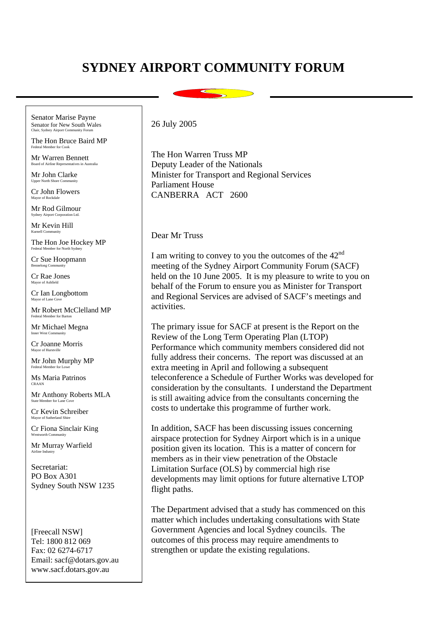## **SYDNEY AIRPORT COMMUNITY FORUM**

Senator Marise Payne Senator for New South Wales<br>Chair, Sydney Airport Community Forum

The Hon Bruce Baird MP Federal Member for Co

Mr Warren Bennett Board of Airline Representatives in Australia

Mr John Clarke Upper North Shore Community

Cr John Flowers Mayor of Rockdale

Mr Rod Gilmour

Mr Kevin Hill Kurnell Community

The Hon Joe Hockey MP Federal Member for North Sydney

Cr Sue Hoopmann elong Con

Cr Rae Jones Mayor of Ashfield

Cr Ian Longbottom Mayor of Lane Cove

Mr Robert McClelland MP Federal Member for Barton

Mr Michael Megna Inner West Comm

Cr Joanne Morris Mayor of Hurstvill

Mr John Murphy MP Federal Member for Lowe

Ms Maria Patrinos CRAAN

Mr Anthony Roberts MLA State Member for Lane Cove

Cr Kevin Schreiber Mayor of Sutherland Shire

Cr Fiona Sinclair King

Mr Murray Warfield Airline Industry

Secretariat: PO Box A301 Sydney South NSW 1235

[Freecall NSW] Tel: 1800 812 069 Fax: 02 6274-6717 Email: sacf@dotars.gov.au www.sacf.dotars.gov.au

## 26 July 2005

The Hon Warren Truss MP Deputy Leader of the Nationals Minister for Transport and Regional Services Parliament House CANBERRA ACT 2600

## Dear Mr Truss

I am writing to convey to you the outcomes of the  $42<sup>nd</sup>$ meeting of the Sydney Airport Community Forum (SACF) held on the 10 June 2005. It is my pleasure to write to you on behalf of the Forum to ensure you as Minister for Transport and Regional Services are advised of SACF's meetings and activities.

The primary issue for SACF at present is the Report on the Review of the Long Term Operating Plan (LTOP) Performance which community members considered did not fully address their concerns. The report was discussed at an extra meeting in April and following a subsequent teleconference a Schedule of Further Works was developed for consideration by the consultants. I understand the Department is still awaiting advice from the consultants concerning the costs to undertake this programme of further work.

In addition, SACF has been discussing issues concerning airspace protection for Sydney Airport which is in a unique position given its location. This is a matter of concern for members as in their view penetration of the Obstacle Limitation Surface (OLS) by commercial high rise developments may limit options for future alternative LTOP flight paths.

The Department advised that a study has commenced on this matter which includes undertaking consultations with State Government Agencies and local Sydney councils. The outcomes of this process may require amendments to strengthen or update the existing regulations.